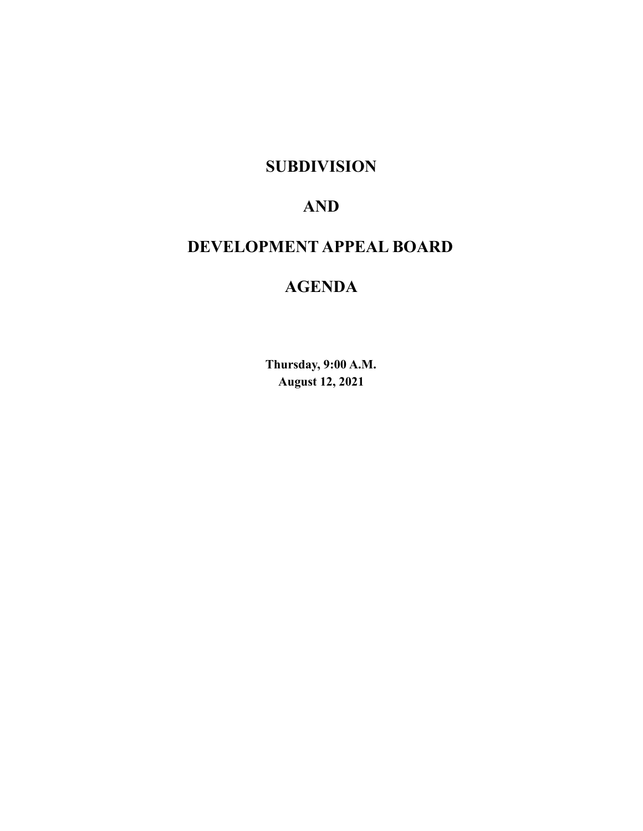# **SUBDIVISION**

# **AND**

# **DEVELOPMENT APPEAL BOARD**

# **AGENDA**

**Thursday, 9:00 A.M. August 12, 2021**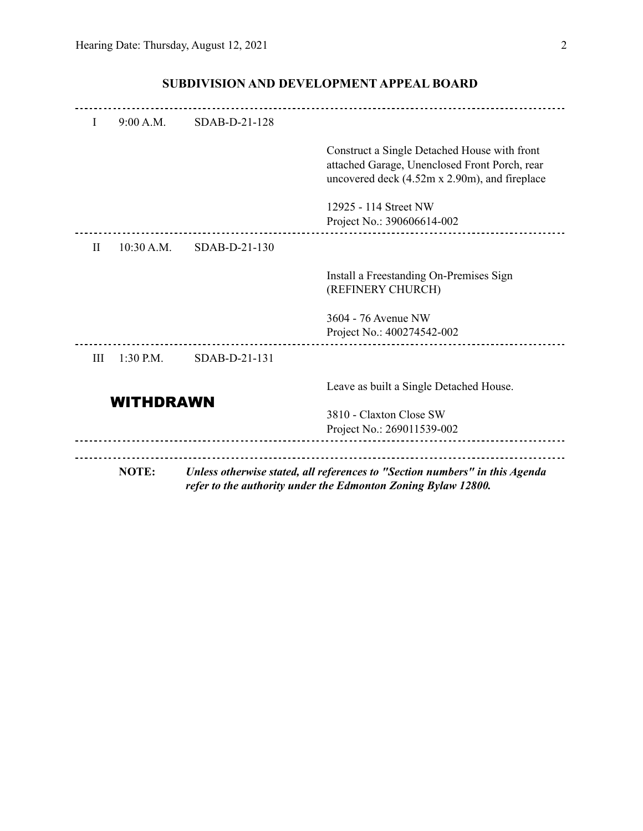| I                | 9:00 A.M.   | $SDAB-D-21-128$ |                                                                                                                                                |
|------------------|-------------|-----------------|------------------------------------------------------------------------------------------------------------------------------------------------|
|                  |             |                 | Construct a Single Detached House with front<br>attached Garage, Unenclosed Front Porch, rear<br>uncovered deck (4.52m x 2.90m), and fireplace |
|                  |             |                 | 12925 - 114 Street NW<br>Project No.: 390606614-002                                                                                            |
| $\mathbf{H}$     | 10:30 A.M.  | SDAB-D-21-130   |                                                                                                                                                |
|                  |             |                 | Install a Freestanding On-Premises Sign<br>(REFINERY CHURCH)                                                                                   |
|                  |             |                 | 3604 - 76 Avenue NW<br>Project No.: 400274542-002                                                                                              |
| Ш                | $1:30$ P.M. | SDAB-D-21-131   |                                                                                                                                                |
| <b>WITHDRAWN</b> |             |                 | Leave as built a Single Detached House.                                                                                                        |
|                  |             |                 | 3810 - Claxton Close SW<br>Project No.: 269011539-002                                                                                          |
|                  |             |                 |                                                                                                                                                |
|                  | NOTE:       |                 | Unless otherwise stated, all references to "Section numbers" in this Agenda<br>refer to the authority under the Edmonton Zoning Bylaw 12800.   |

## **SUBDIVISION AND DEVELOPMENT APPEAL BOARD**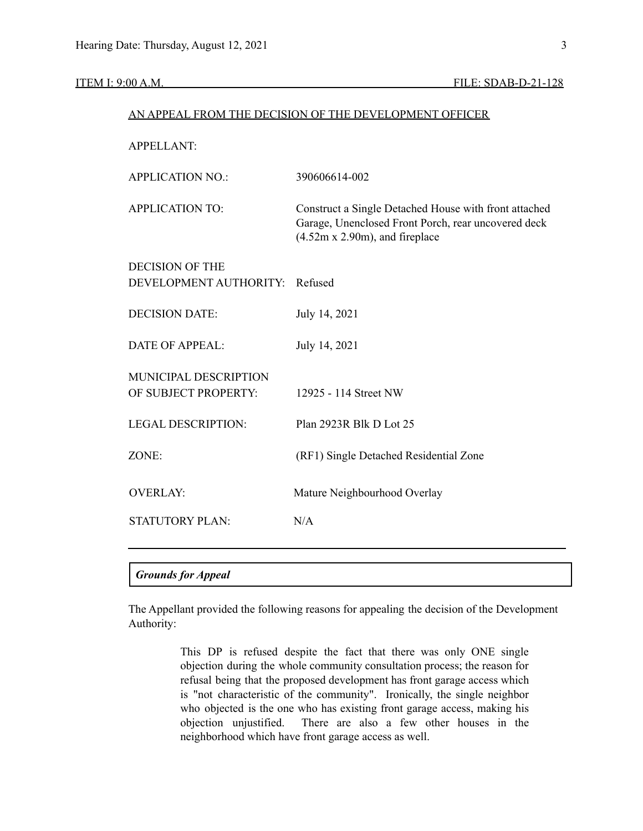## AN APPEAL FROM THE DECISION OF THE DEVELOPMENT OFFICER

| <b>APPELLANT:</b>              |                                                                                                                                                   |
|--------------------------------|---------------------------------------------------------------------------------------------------------------------------------------------------|
| <b>APPLICATION NO.:</b>        | 390606614-002                                                                                                                                     |
| <b>APPLICATION TO:</b>         | Construct a Single Detached House with front attached<br>Garage, Unenclosed Front Porch, rear uncovered deck<br>$(4.52m x 2.90m)$ , and fireplace |
| <b>DECISION OF THE</b>         |                                                                                                                                                   |
| DEVELOPMENT AUTHORITY: Refused |                                                                                                                                                   |
| <b>DECISION DATE:</b>          | July 14, 2021                                                                                                                                     |
|                                |                                                                                                                                                   |
| <b>DATE OF APPEAL:</b>         | July 14, 2021                                                                                                                                     |
| MUNICIPAL DESCRIPTION          |                                                                                                                                                   |
| OF SUBJECT PROPERTY:           | 12925 - 114 Street NW                                                                                                                             |
| <b>LEGAL DESCRIPTION:</b>      | Plan 2923R Blk D Lot 25                                                                                                                           |
|                                |                                                                                                                                                   |
| ZONE:                          | (RF1) Single Detached Residential Zone                                                                                                            |
|                                |                                                                                                                                                   |
| <b>OVERLAY:</b>                | Mature Neighbourhood Overlay                                                                                                                      |
| <b>STATUTORY PLAN:</b>         | N/A                                                                                                                                               |
|                                |                                                                                                                                                   |
|                                |                                                                                                                                                   |

### *Grounds for Appeal*

The Appellant provided the following reasons for appealing the decision of the Development Authority:

> This DP is refused despite the fact that there was only ONE single objection during the whole community consultation process; the reason for refusal being that the proposed development has front garage access which is "not characteristic of the community". Ironically, the single neighbor who objected is the one who has existing front garage access, making his objection unjustified. There are also a few other houses in the neighborhood which have front garage access as well.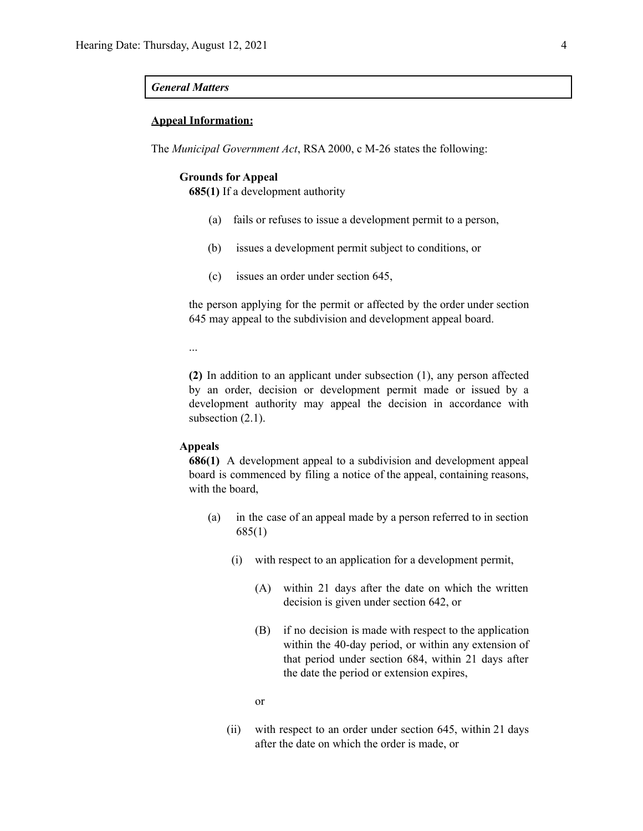#### *General Matters*

#### **Appeal Information:**

The *Municipal Government Act*, RSA 2000, c M-26 states the following:

#### **Grounds for Appeal**

**685(1)** If a development authority

- (a) fails or refuses to issue a development permit to a person,
- (b) issues a development permit subject to conditions, or
- (c) issues an order under section 645,

the person applying for the permit or affected by the order under section 645 may appeal to the subdivision and development appeal board.

...

**(2)** In addition to an applicant under subsection (1), any person affected by an order, decision or development permit made or issued by a development authority may appeal the decision in accordance with subsection  $(2.1)$ .

#### **Appeals**

**686(1)** A development appeal to a subdivision and development appeal board is commenced by filing a notice of the appeal, containing reasons, with the board,

- (a) in the case of an appeal made by a person referred to in section 685(1)
	- (i) with respect to an application for a development permit,
		- (A) within 21 days after the date on which the written decision is given under section 642, or
		- (B) if no decision is made with respect to the application within the 40-day period, or within any extension of that period under section 684, within 21 days after the date the period or extension expires,

or

(ii) with respect to an order under section 645, within 21 days after the date on which the order is made, or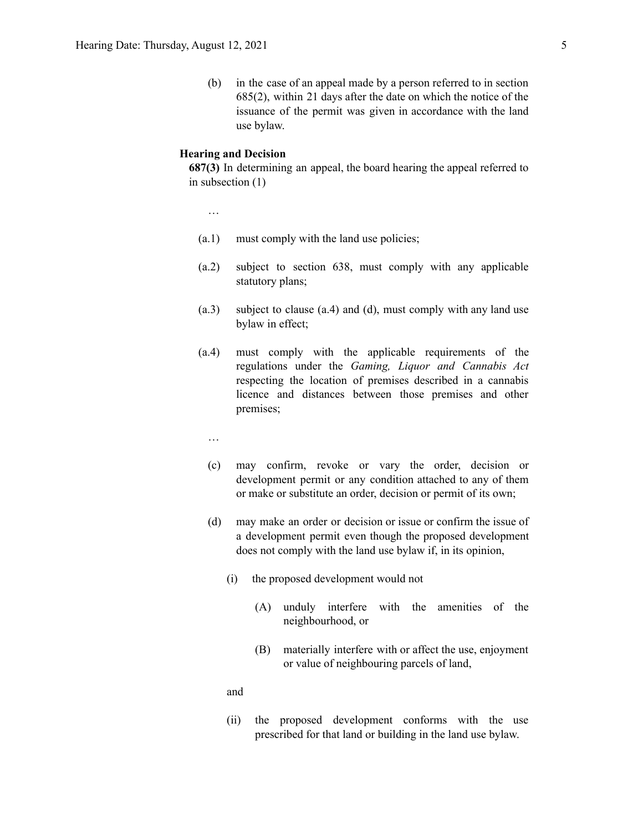(b) in the case of an appeal made by a person referred to in section 685(2), within 21 days after the date on which the notice of the issuance of the permit was given in accordance with the land use bylaw.

#### **Hearing and Decision**

**687(3)** In determining an appeal, the board hearing the appeal referred to in subsection (1)

…

- (a.1) must comply with the land use policies;
- (a.2) subject to section 638, must comply with any applicable statutory plans;
- (a.3) subject to clause (a.4) and (d), must comply with any land use bylaw in effect;
- (a.4) must comply with the applicable requirements of the regulations under the *Gaming, Liquor and Cannabis Act* respecting the location of premises described in a cannabis licence and distances between those premises and other premises;
	- …
	- (c) may confirm, revoke or vary the order, decision or development permit or any condition attached to any of them or make or substitute an order, decision or permit of its own;
	- (d) may make an order or decision or issue or confirm the issue of a development permit even though the proposed development does not comply with the land use bylaw if, in its opinion,
		- (i) the proposed development would not
			- (A) unduly interfere with the amenities of the neighbourhood, or
			- (B) materially interfere with or affect the use, enjoyment or value of neighbouring parcels of land,

and

(ii) the proposed development conforms with the use prescribed for that land or building in the land use bylaw.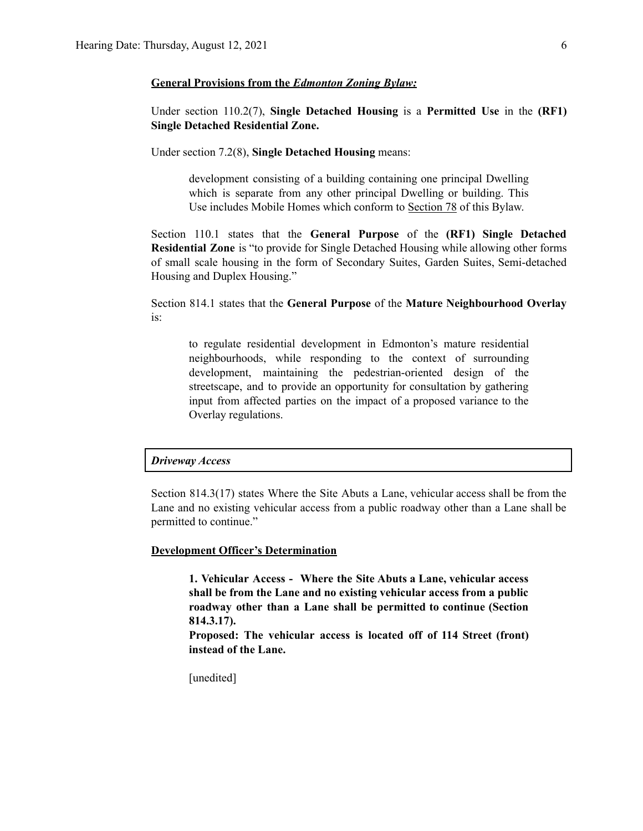#### **General Provisions from the** *Edmonton Zoning Bylaw:*

Under section 110.2(7), **Single Detached Housing** is a **Permitted Use** in the **(RF1) Single Detached Residential Zone.**

Under section 7.2(8), **Single Detached Housing** means:

development consisting of a building containing one principal Dwelling which is separate from any other principal Dwelling or building. This Use includes Mobile Homes which conform to Section 78 of this Bylaw.

Section 110.1 states that the **General Purpose** of the **(RF1) Single Detached Residential Zone** is "to provide for Single Detached Housing while allowing other forms of small scale housing in the form of Secondary Suites, Garden Suites, Semi-detached Housing and Duplex Housing."

Section 814.1 states that the **General Purpose** of the **Mature Neighbourhood Overlay** is:

to regulate residential development in Edmonton's mature residential neighbourhoods, while responding to the context of surrounding development, maintaining the pedestrian-oriented design of the streetscape, and to provide an opportunity for consultation by gathering input from affected parties on the impact of a proposed variance to the Overlay regulations.

#### *Driveway Access*

Section 814.3(17) states Where the Site Abuts a Lane, vehicular access shall be from the Lane and no existing vehicular access from a public roadway other than a Lane shall be permitted to continue."

#### **Development Officer's Determination**

**1. Vehicular Access - Where the Site Abuts a Lane, vehicular access shall be from the Lane and no existing vehicular access from a public roadway other than a Lane shall be permitted to continue (Section 814.3.17).**

**Proposed: The vehicular access is located off of 114 Street (front) instead of the Lane.**

[unedited]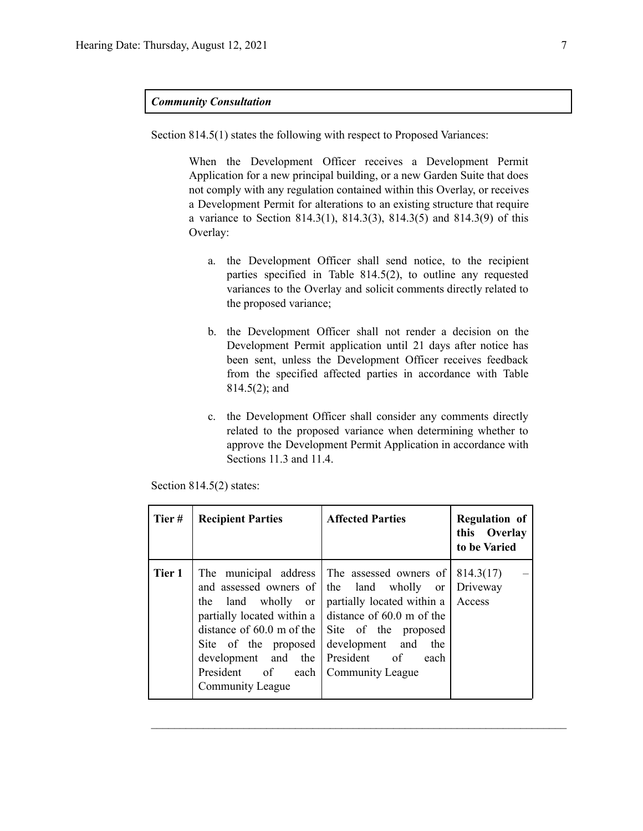#### *Community Consultation*

Section 814.5(1) states the following with respect to Proposed Variances:

When the Development Officer receives a Development Permit Application for a new principal building, or a new Garden Suite that does not comply with any regulation contained within this Overlay, or receives a Development Permit for alterations to an existing structure that require a variance to Section 814.3(1), 814.3(3), 814.3(5) and 814.3(9) of this Overlay:

- a. the Development Officer shall send notice, to the recipient parties specified in Table 814.5(2), to outline any requested variances to the Overlay and solicit comments directly related to the proposed variance;
- b. the Development Officer shall not render a decision on the Development Permit application until 21 days after notice has been sent, unless the Development Officer receives feedback from the specified affected parties in accordance with Table 814.5(2); and
- c. the Development Officer shall consider any comments directly related to the proposed variance when determining whether to approve the Development Permit Application in accordance with Sections 11.3 and 11.4.

| Tier#  | <b>Recipient Parties</b>                                                                                             | <b>Affected Parties</b>                                                                                                                                                                                                                                                                                                          | <b>Regulation of</b><br>this Overlay<br>to be Varied |
|--------|----------------------------------------------------------------------------------------------------------------------|----------------------------------------------------------------------------------------------------------------------------------------------------------------------------------------------------------------------------------------------------------------------------------------------------------------------------------|------------------------------------------------------|
| Tier 1 | land wholly or<br>the<br>Site of the proposed<br>development and the<br>President of each<br><b>Community League</b> | The municipal address The assessed owners of<br>and assessed owners of the land wholly or<br>partially located within a<br>partially located within a $\vert$ distance of 60.0 m of the<br>distance of $60.0$ m of the $\vert$ Site of the proposed<br>development and<br>the<br>President of<br>each<br><b>Community League</b> | 814.3(17)<br>Driveway<br>Access                      |

 $\mathcal{L}_\text{max} = \frac{1}{2} \sum_{i=1}^n \mathcal{L}_\text{max} = \frac{1}{2} \sum_{i=1}^n \mathcal{L}_\text{max} = \frac{1}{2} \sum_{i=1}^n \mathcal{L}_\text{max} = \frac{1}{2} \sum_{i=1}^n \mathcal{L}_\text{max} = \frac{1}{2} \sum_{i=1}^n \mathcal{L}_\text{max} = \frac{1}{2} \sum_{i=1}^n \mathcal{L}_\text{max} = \frac{1}{2} \sum_{i=1}^n \mathcal{L}_\text{max} = \frac{1}{2} \sum_{i=$ 

Section 814.5(2) states: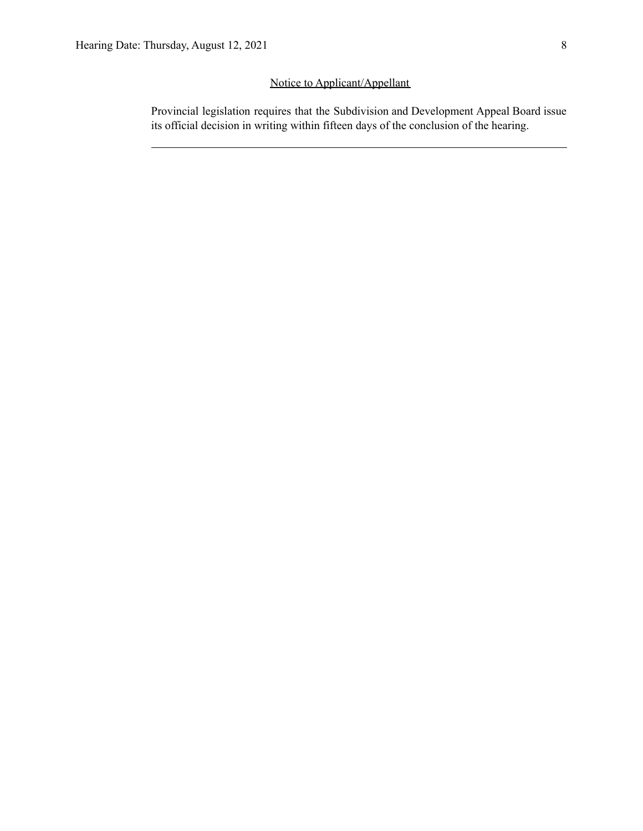## Notice to Applicant/Appellant

Provincial legislation requires that the Subdivision and Development Appeal Board issue its official decision in writing within fifteen days of the conclusion of the hearing.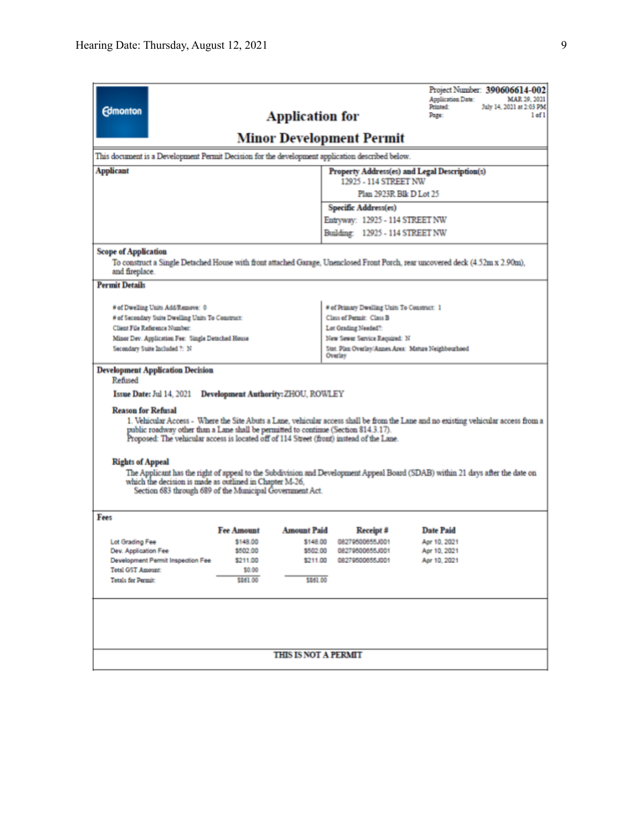| <b>Edmonton</b>                                                                                                                                                                                                                                                                                                                                                                                                                                                                                                                                                                                                                                                                                                                                                     |                    | <b>Application for</b> |                                                                         | <b>Application Date:</b><br>MAR 29, 2021<br>Printed:<br>July 14, 2021 at 2:03 PM<br>Page:<br>$left1$ of $1$ |  |
|---------------------------------------------------------------------------------------------------------------------------------------------------------------------------------------------------------------------------------------------------------------------------------------------------------------------------------------------------------------------------------------------------------------------------------------------------------------------------------------------------------------------------------------------------------------------------------------------------------------------------------------------------------------------------------------------------------------------------------------------------------------------|--------------------|------------------------|-------------------------------------------------------------------------|-------------------------------------------------------------------------------------------------------------|--|
| Minor Development Permit                                                                                                                                                                                                                                                                                                                                                                                                                                                                                                                                                                                                                                                                                                                                            |                    |                        |                                                                         |                                                                                                             |  |
| This document is a Development Permit Decision for the development application described below.                                                                                                                                                                                                                                                                                                                                                                                                                                                                                                                                                                                                                                                                     |                    |                        |                                                                         |                                                                                                             |  |
| <b>Applicant</b>                                                                                                                                                                                                                                                                                                                                                                                                                                                                                                                                                                                                                                                                                                                                                    |                    |                        |                                                                         | Property Address(es) and Legal Description(s)                                                               |  |
|                                                                                                                                                                                                                                                                                                                                                                                                                                                                                                                                                                                                                                                                                                                                                                     |                    |                        | 12925 - 114 STREET NW                                                   | Plan 2923R Blk D Lot 25                                                                                     |  |
|                                                                                                                                                                                                                                                                                                                                                                                                                                                                                                                                                                                                                                                                                                                                                                     |                    |                        | Specific Address(es)                                                    |                                                                                                             |  |
|                                                                                                                                                                                                                                                                                                                                                                                                                                                                                                                                                                                                                                                                                                                                                                     |                    |                        | Entryway: 12925 - 114 STREET NW                                         |                                                                                                             |  |
|                                                                                                                                                                                                                                                                                                                                                                                                                                                                                                                                                                                                                                                                                                                                                                     |                    |                        | Building: 12925 - 114 STREET NW                                         |                                                                                                             |  |
|                                                                                                                                                                                                                                                                                                                                                                                                                                                                                                                                                                                                                                                                                                                                                                     |                    |                        |                                                                         |                                                                                                             |  |
| <b>Scope of Application</b><br>To construct a Single Detached House with front attached Garage, Unenclosed Front Porch, rear uncovered deck (4.52m x 2.90m),<br>and fireplace.                                                                                                                                                                                                                                                                                                                                                                                                                                                                                                                                                                                      |                    |                        |                                                                         |                                                                                                             |  |
| <b>Permit Details</b>                                                                                                                                                                                                                                                                                                                                                                                                                                                                                                                                                                                                                                                                                                                                               |                    |                        |                                                                         |                                                                                                             |  |
|                                                                                                                                                                                                                                                                                                                                                                                                                                                                                                                                                                                                                                                                                                                                                                     |                    |                        |                                                                         |                                                                                                             |  |
| # of Dwelling Units Add/Remove: 0<br># of Secondary Suite Dwelling Units To Construct:                                                                                                                                                                                                                                                                                                                                                                                                                                                                                                                                                                                                                                                                              |                    |                        | # of Primary Dwelling Units To Construct: 1<br>Class of Permit: Class B |                                                                                                             |  |
| Client File Reference Number:                                                                                                                                                                                                                                                                                                                                                                                                                                                                                                                                                                                                                                                                                                                                       |                    |                        | Lot Grading Needed?:                                                    |                                                                                                             |  |
| Minor Dev. Application Fee: Single Detached House                                                                                                                                                                                                                                                                                                                                                                                                                                                                                                                                                                                                                                                                                                                   |                    |                        | New Sewer Service Required: N                                           |                                                                                                             |  |
| Secondary Suite Included ?: N                                                                                                                                                                                                                                                                                                                                                                                                                                                                                                                                                                                                                                                                                                                                       |                    |                        | Stat. Plan Overlay/Annex Area: Mature Neighbourhood<br>Overlay          |                                                                                                             |  |
| <b>Development Application Decision</b><br>Refused<br>Issue Date: Jul 14, 2021 Development Authority: ZHOU, ROWLEY<br><b>Reason for Refusal</b><br>1. Vehicular Access - Where the Site Abuts a Lane, vehicular access shall be from the Lane and no existing vehicular access from a<br>public roadway other than a Lane shall be permitted to continue (Section 814.3.17).<br>Proposed: The vehicular access is located off of 114 Street (front) instead of the Lane.<br><b>Rights of Appeal</b><br>The Applicant has the right of appeal to the Subdivision and Development Appeal Board (SDAB) within 21 days after the date on<br>which the decision is made as outlined in Chapter M-26.<br>Section 683 through 689 of the Municipal Government Act.<br>Fees |                    |                        |                                                                         |                                                                                                             |  |
|                                                                                                                                                                                                                                                                                                                                                                                                                                                                                                                                                                                                                                                                                                                                                                     | <b>Fee Amount</b>  | <b>Amount Paid</b>     | Receipt #                                                               | <b>Date Paid</b>                                                                                            |  |
| Lot Grading Fee                                                                                                                                                                                                                                                                                                                                                                                                                                                                                                                                                                                                                                                                                                                                                     | \$148.00           | \$148.00               | 08279500655J001                                                         | Apr 10, 2021                                                                                                |  |
| Dev. Application Fee                                                                                                                                                                                                                                                                                                                                                                                                                                                                                                                                                                                                                                                                                                                                                | \$502.00           | \$502.00               | 08279500655J001                                                         | Apr 10, 2021                                                                                                |  |
| Development Permit Inspection Fee                                                                                                                                                                                                                                                                                                                                                                                                                                                                                                                                                                                                                                                                                                                                   | \$211.00           |                        | \$211.00 08279500655J001                                                | Apr 10, 2021                                                                                                |  |
| <b>Total GST Amount:</b><br>Totals for Permit:                                                                                                                                                                                                                                                                                                                                                                                                                                                                                                                                                                                                                                                                                                                      | \$0.00<br>\$861.00 | \$861.00               |                                                                         |                                                                                                             |  |
|                                                                                                                                                                                                                                                                                                                                                                                                                                                                                                                                                                                                                                                                                                                                                                     |                    |                        |                                                                         |                                                                                                             |  |
|                                                                                                                                                                                                                                                                                                                                                                                                                                                                                                                                                                                                                                                                                                                                                                     |                    |                        |                                                                         |                                                                                                             |  |
| <b>THIS IS NOT A PERMIT</b>                                                                                                                                                                                                                                                                                                                                                                                                                                                                                                                                                                                                                                                                                                                                         |                    |                        |                                                                         |                                                                                                             |  |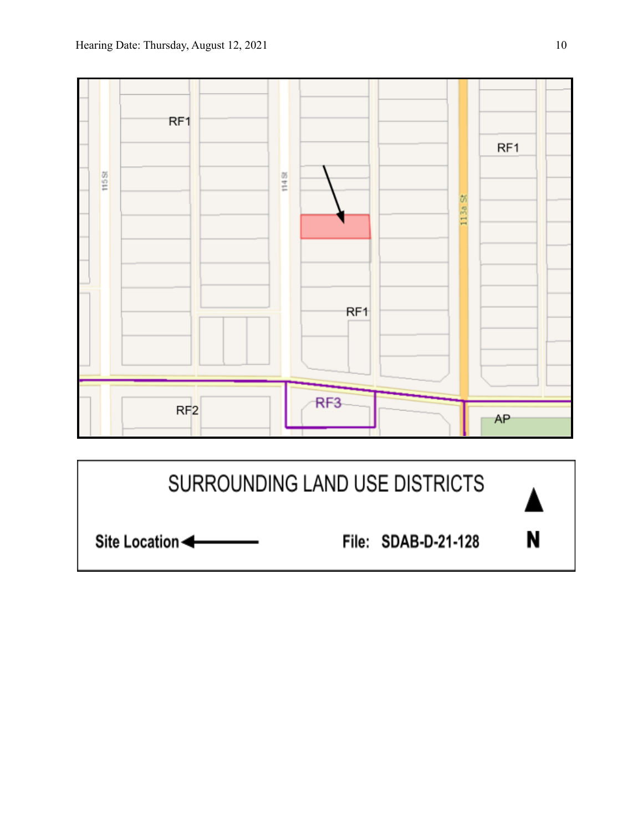

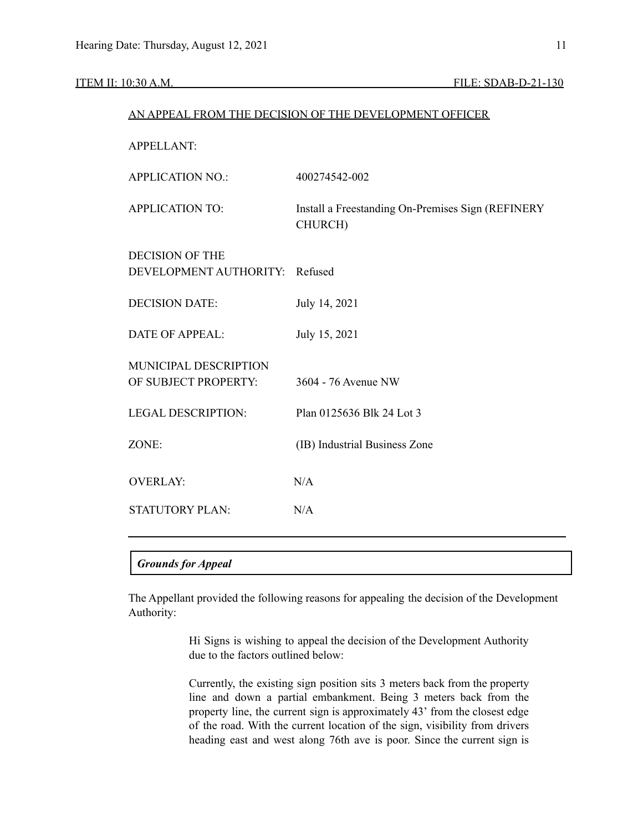#### ITEM II: 10:30 A.M. FILE: SDAB-D-21-130

| AN APPEAL FROM THE DECISION OF THE DEVELOPMENT OFFICER |                                                              |  |
|--------------------------------------------------------|--------------------------------------------------------------|--|
| <b>APPELLANT:</b>                                      |                                                              |  |
| <b>APPLICATION NO.:</b>                                | 400274542-002                                                |  |
| <b>APPLICATION TO:</b>                                 | Install a Freestanding On-Premises Sign (REFINERY<br>CHURCH) |  |
| <b>DECISION OF THE</b><br>DEVELOPMENT AUTHORITY:       | Refused                                                      |  |
| <b>DECISION DATE:</b>                                  | July 14, 2021                                                |  |
| <b>DATE OF APPEAL:</b>                                 | July 15, 2021                                                |  |
| MUNICIPAL DESCRIPTION<br>OF SUBJECT PROPERTY:          | 3604 - 76 Avenue NW                                          |  |
| <b>LEGAL DESCRIPTION:</b>                              | Plan 0125636 Blk 24 Lot 3                                    |  |
| ZONE:                                                  | (IB) Industrial Business Zone                                |  |
| <b>OVERLAY:</b>                                        | N/A                                                          |  |
| <b>STATUTORY PLAN:</b>                                 | N/A                                                          |  |
|                                                        |                                                              |  |

## *Grounds for Appeal*

The Appellant provided the following reasons for appealing the decision of the Development Authority:

> Hi Signs is wishing to appeal the decision of the Development Authority due to the factors outlined below:

> Currently, the existing sign position sits 3 meters back from the property line and down a partial embankment. Being 3 meters back from the property line, the current sign is approximately 43' from the closest edge of the road. With the current location of the sign, visibility from drivers heading east and west along 76th ave is poor. Since the current sign is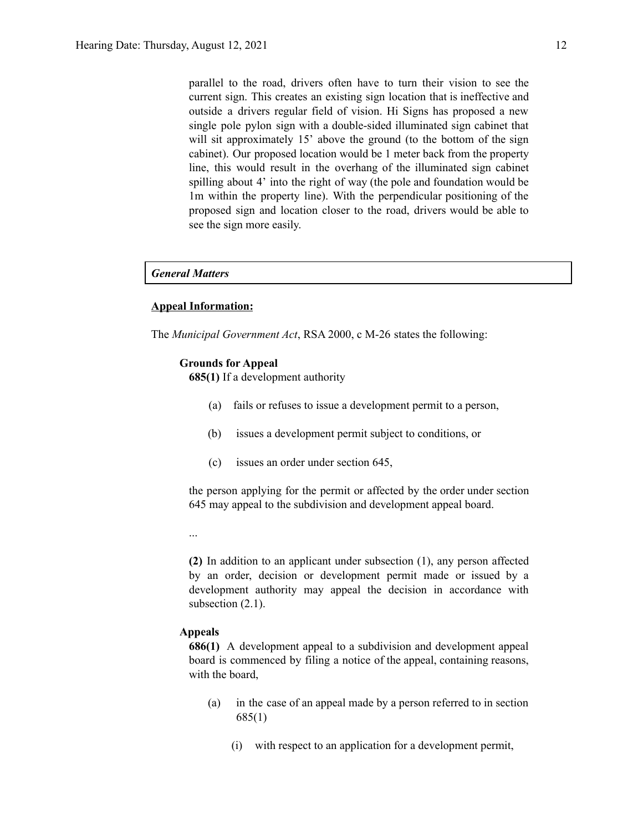parallel to the road, drivers often have to turn their vision to see the current sign. This creates an existing sign location that is ineffective and outside a drivers regular field of vision. Hi Signs has proposed a new single pole pylon sign with a double-sided illuminated sign cabinet that will sit approximately 15' above the ground (to the bottom of the sign cabinet). Our proposed location would be 1 meter back from the property line, this would result in the overhang of the illuminated sign cabinet spilling about 4' into the right of way (the pole and foundation would be 1m within the property line). With the perpendicular positioning of the proposed sign and location closer to the road, drivers would be able to see the sign more easily.

#### *General Matters*

#### **Appeal Information:**

The *Municipal Government Act*, RSA 2000, c M-26 states the following:

#### **Grounds for Appeal**

**685(1)** If a development authority

- (a) fails or refuses to issue a development permit to a person,
- (b) issues a development permit subject to conditions, or
- (c) issues an order under section 645,

the person applying for the permit or affected by the order under section 645 may appeal to the subdivision and development appeal board.

...

**(2)** In addition to an applicant under subsection (1), any person affected by an order, decision or development permit made or issued by a development authority may appeal the decision in accordance with subsection  $(2.1)$ .

#### **Appeals**

**686(1)** A development appeal to a subdivision and development appeal board is commenced by filing a notice of the appeal, containing reasons, with the board,

- (a) in the case of an appeal made by a person referred to in section 685(1)
	- (i) with respect to an application for a development permit,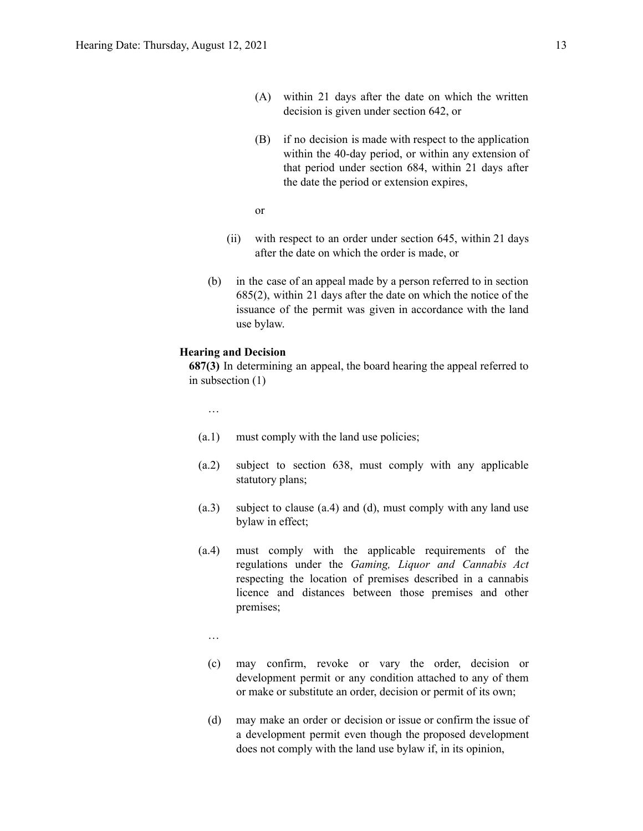- (A) within 21 days after the date on which the written decision is given under section 642, or
- (B) if no decision is made with respect to the application within the 40-day period, or within any extension of that period under section 684, within 21 days after the date the period or extension expires,
- or
- (ii) with respect to an order under section 645, within 21 days after the date on which the order is made, or
- (b) in the case of an appeal made by a person referred to in section 685(2), within 21 days after the date on which the notice of the issuance of the permit was given in accordance with the land use bylaw.

#### **Hearing and Decision**

**687(3)** In determining an appeal, the board hearing the appeal referred to in subsection (1)

…

- (a.1) must comply with the land use policies;
- (a.2) subject to section 638, must comply with any applicable statutory plans;
- (a.3) subject to clause (a.4) and (d), must comply with any land use bylaw in effect;
- (a.4) must comply with the applicable requirements of the regulations under the *Gaming, Liquor and Cannabis Act* respecting the location of premises described in a cannabis licence and distances between those premises and other premises;
	- …
	- (c) may confirm, revoke or vary the order, decision or development permit or any condition attached to any of them or make or substitute an order, decision or permit of its own;
	- (d) may make an order or decision or issue or confirm the issue of a development permit even though the proposed development does not comply with the land use bylaw if, in its opinion,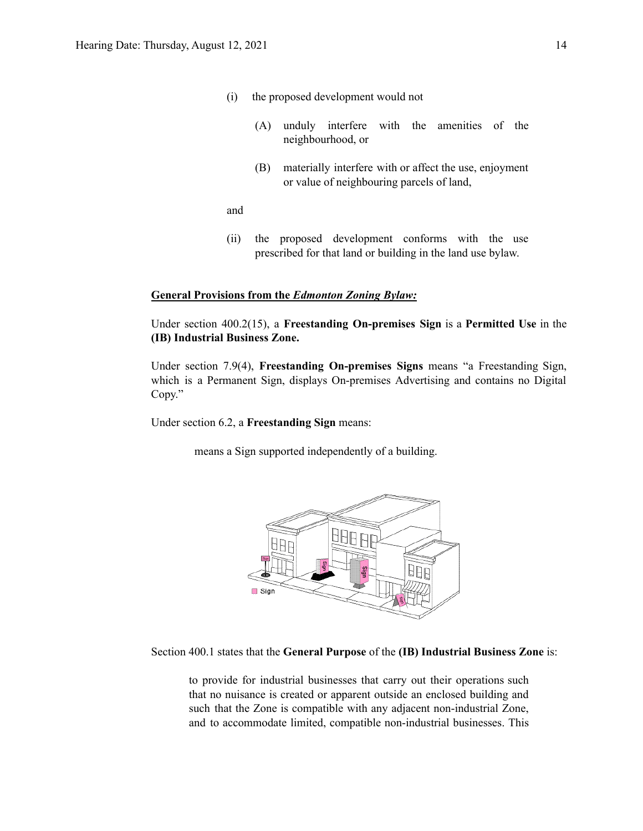- (i) the proposed development would not
	- (A) unduly interfere with the amenities of the neighbourhood, or
	- (B) materially interfere with or affect the use, enjoyment or value of neighbouring parcels of land,

and

(ii) the proposed development conforms with the use prescribed for that land or building in the land use bylaw.

#### **General Provisions from the** *Edmonton Zoning Bylaw:*

Under section 400.2(15), a **Freestanding On-premises Sign** is a **Permitted Use** in the **(IB) Industrial Business Zone.**

Under section 7.9(4), **Freestanding On-premises Signs** means "a Freestanding Sign, which is a Permanent Sign, displays On-premises Advertising and contains no Digital Copy."

Under section 6.2, a **Freestanding Sign** means:

means a Sign supported independently of a building.



Section 400.1 states that the **General Purpose** of the **(IB) Industrial Business Zone** is:

to provide for industrial businesses that carry out their operations such that no nuisance is created or apparent outside an enclosed building and such that the Zone is compatible with any adjacent non-industrial Zone, and to accommodate limited, compatible non-industrial businesses. This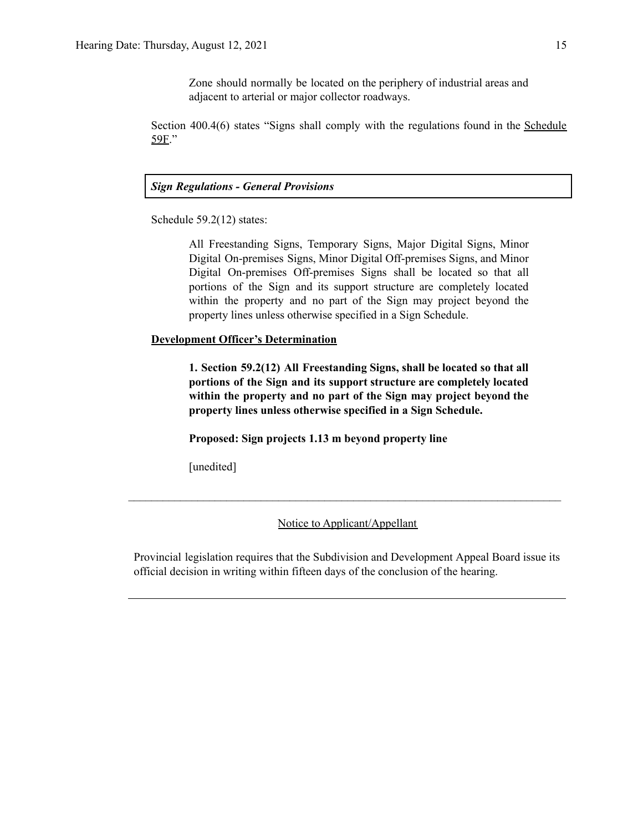Zone should normally be located on the periphery of industrial areas and adjacent to arterial or major collector roadways.

Section 400.4(6) states "Signs shall comply with the regulations found in the Schedule 59F."

### *Sign Regulations - General Provisions*

Schedule 59.2(12) states:

All Freestanding Signs, Temporary Signs, Major Digital Signs, Minor Digital On-premises Signs, Minor Digital Off-premises Signs, and Minor Digital On-premises Off-premises Signs shall be located so that all portions of the Sign and its support structure are completely located within the property and no part of the Sign may project beyond the property lines unless otherwise specified in a Sign Schedule.

#### **Development Officer's Determination**

**1. Section 59.2(12) All Freestanding Signs, shall be located so that all portions of the Sign and its support structure are completely located within the property and no part of the Sign may project beyond the property lines unless otherwise specified in a Sign Schedule.**

**Proposed: Sign projects 1.13 m beyond property line**

[unedited]

#### Notice to Applicant/Appellant

 $\mathcal{L}_\text{max} = \frac{1}{2} \sum_{i=1}^n \mathcal{L}_\text{max} = \frac{1}{2} \sum_{i=1}^n \mathcal{L}_\text{max} = \frac{1}{2} \sum_{i=1}^n \mathcal{L}_\text{max} = \frac{1}{2} \sum_{i=1}^n \mathcal{L}_\text{max} = \frac{1}{2} \sum_{i=1}^n \mathcal{L}_\text{max} = \frac{1}{2} \sum_{i=1}^n \mathcal{L}_\text{max} = \frac{1}{2} \sum_{i=1}^n \mathcal{L}_\text{max} = \frac{1}{2} \sum_{i=$ 

Provincial legislation requires that the Subdivision and Development Appeal Board issue its official decision in writing within fifteen days of the conclusion of the hearing.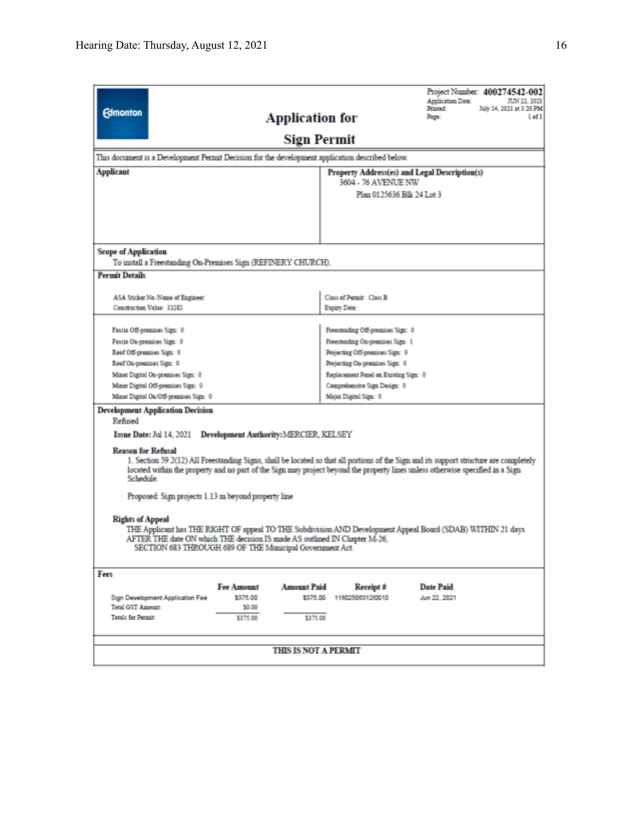|                                                                                                                                                                                          | Project Number: 400274542-002<br>Application Date:<br>JUN 22, 2021 |  |  |  |
|------------------------------------------------------------------------------------------------------------------------------------------------------------------------------------------|--------------------------------------------------------------------|--|--|--|
| <b>Edmonton</b>                                                                                                                                                                          | Printed:<br>July 14, 2021 at 3:20 PM                               |  |  |  |
| <b>Application for</b>                                                                                                                                                                   | Page:<br>$1$ of $1$                                                |  |  |  |
|                                                                                                                                                                                          | <b>Sign Permit</b>                                                 |  |  |  |
| This document is a Development Permit Decision for the development application described below.                                                                                          |                                                                    |  |  |  |
| Applicant                                                                                                                                                                                | Property Address(es) and Legal Description(s)                      |  |  |  |
|                                                                                                                                                                                          | 3604 - 76 AVENUE NW                                                |  |  |  |
|                                                                                                                                                                                          | Plan 0125636 Blk 24 Lot 3                                          |  |  |  |
|                                                                                                                                                                                          |                                                                    |  |  |  |
|                                                                                                                                                                                          |                                                                    |  |  |  |
|                                                                                                                                                                                          |                                                                    |  |  |  |
| <b>Scope of Application</b>                                                                                                                                                              |                                                                    |  |  |  |
| To install a Freestanding On-Premises Sign (REFINERY CHURCH).                                                                                                                            |                                                                    |  |  |  |
| <b>Permit Details</b>                                                                                                                                                                    |                                                                    |  |  |  |
|                                                                                                                                                                                          |                                                                    |  |  |  |
| ASA Sticker No./Name of Engineer:                                                                                                                                                        | Class of Permit: Class B                                           |  |  |  |
| Construction Value: 32282                                                                                                                                                                | Expiry Date:                                                       |  |  |  |
|                                                                                                                                                                                          |                                                                    |  |  |  |
| Fascia Off-premises Sign: 0                                                                                                                                                              | Freestanding Off-premises Sign: 0                                  |  |  |  |
| Fascia On-premises Sign: 0                                                                                                                                                               | Freestanding On-premises Sign: 1                                   |  |  |  |
| Roof Off-premises Sign: 0                                                                                                                                                                | Projecting Off-premises Sign: 0                                    |  |  |  |
| Roof On-premises Sign: 0                                                                                                                                                                 | Projecting On-premises Sign: 0                                     |  |  |  |
| Minor Digital On-premises Sign: 0                                                                                                                                                        | Replacement Panel on Existing Sign: 0                              |  |  |  |
| Minor Digital Off-premises Sign: 0                                                                                                                                                       | Comprehensive Sign Design: 0                                       |  |  |  |
| Minor Digital On/Off-premises Sign: 0                                                                                                                                                    | Major Digital Sign: 0                                              |  |  |  |
| <b>Development Application Decision</b><br>Refused                                                                                                                                       |                                                                    |  |  |  |
| Issue Date: Jul 14, 2021<br><b>Development Authority: MERCIER, KELSEY</b>                                                                                                                |                                                                    |  |  |  |
|                                                                                                                                                                                          |                                                                    |  |  |  |
| <b>Reason for Refusal</b>                                                                                                                                                                |                                                                    |  |  |  |
| 1. Section 59.2(12) All Freestanding Signs, shall be located so that all portions of the Sign and its support structure are completely                                                   |                                                                    |  |  |  |
| located within the property and no part of the Sign may project beyond the property lines unless otherwise specified in a Sign<br>Schedule.                                              |                                                                    |  |  |  |
|                                                                                                                                                                                          |                                                                    |  |  |  |
| Proposed: Sign projects 1.13 m beyond property line                                                                                                                                      |                                                                    |  |  |  |
|                                                                                                                                                                                          |                                                                    |  |  |  |
| <b>Rights of Appeal</b>                                                                                                                                                                  |                                                                    |  |  |  |
| THE Applicant has THE RIGHT OF appeal TO THE Subdivision AND Development Appeal Board (SDAB) WITHIN 21 days<br>AFTER THE date ON which THE decision IS made AS outlined IN Chapter M-26, |                                                                    |  |  |  |
| SECTION 683 THROUGH 689 OF THE Municipal Government Act.                                                                                                                                 |                                                                    |  |  |  |
|                                                                                                                                                                                          |                                                                    |  |  |  |
| Fees                                                                                                                                                                                     |                                                                    |  |  |  |
| <b>Fee Amount</b><br><b>Amount Paid</b>                                                                                                                                                  | <b>Date Paid</b><br>Receipt #                                      |  |  |  |
| \$375.00<br><b>Sign Development Application Fee</b>                                                                                                                                      | \$375.00 11602506312/0010<br>Jun 22, 2021                          |  |  |  |
| <b>Total GST Amount:</b><br>\$0.00                                                                                                                                                       |                                                                    |  |  |  |
| <b>Totals for Permit-</b><br>\$375.00                                                                                                                                                    | \$375.00                                                           |  |  |  |
|                                                                                                                                                                                          |                                                                    |  |  |  |
|                                                                                                                                                                                          |                                                                    |  |  |  |
| <b>THIS IS NOT A PERMIT</b>                                                                                                                                                              |                                                                    |  |  |  |
|                                                                                                                                                                                          |                                                                    |  |  |  |